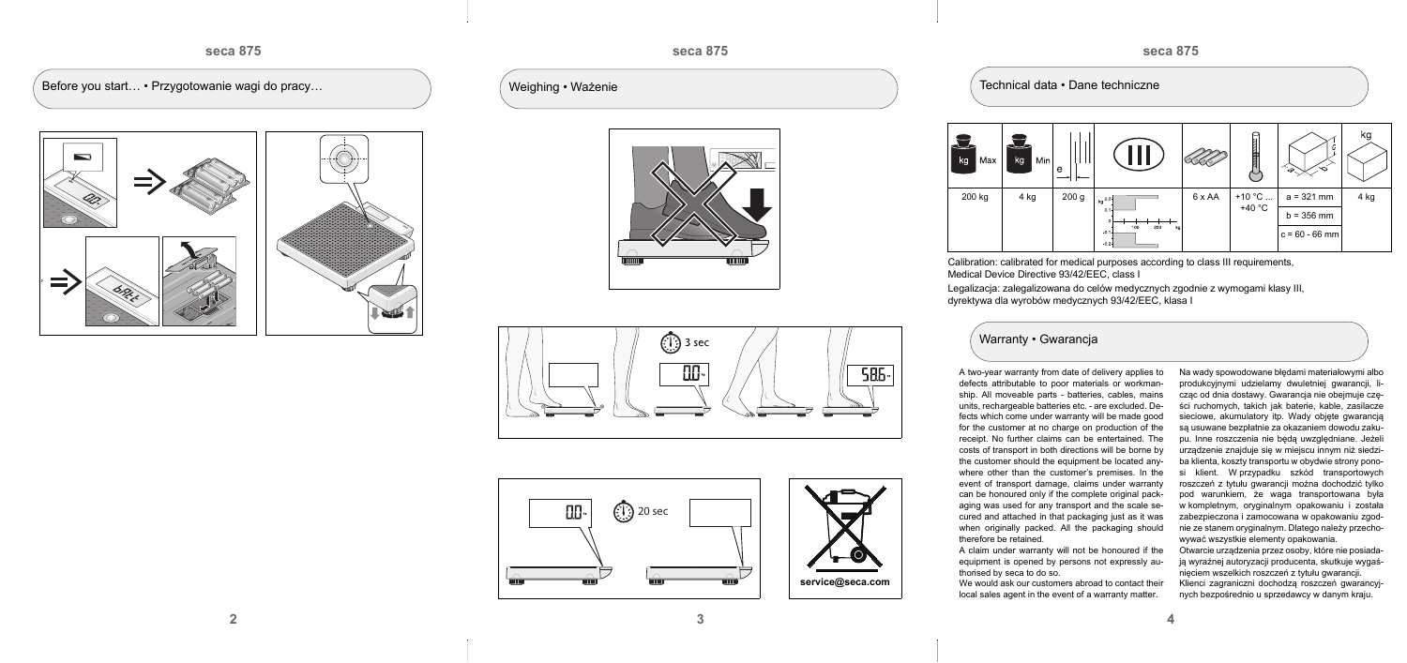

Before you start... • Przygotowanie wagi do pracy... (Weighing • Ważenie



## **seca 875**





**3**



Calibration: calibrated for medical purposes according to class III requirements, Medical Device Directive 93/42/EEC, class I

Technical data • Dane techniczne



Legalizacja: zalegalizowana do celów medycznych zgodnie z wymogami klasy III, dyrektywa dla wyrobów medycznych 93/42/EEC, klasa I









A two-year warranty from date of delivery applies to defects attributable to poor materials or workmanship. All moveable parts - batteries, cables, mains units, rechargeable batteries etc. - are excluded. Defects which come under warranty will be made good for the customer at no charge on production of the receipt. No further claims can be entertained. The costs of transport in both directions will be borne by the customer should the equipment be located anywhere other than the customer's premises. In the event of transport damage, claims under warranty can be honoured only if the complete original packaging was used for any transport and the scale secured and attached in that packaging just as it was when originally packed. All the packaging should

therefore be retained.

A claim under warranty will not be honoured if the equipment is opened by persons not expressly authorised by seca to do so.

We would ask our customers abroad to contact their local sales agent in the event of a warranty matter.

Na wady spowodowane błędami materiałowymi albo produkcyjnymi udzielamy dwuletniej gwarancji, licząc od dnia dostawy. Gwarancja nie obejmuje części ruchomych, takich jak baterie, kable, zasilacze sieciowe, akumulatory itp. Wady objęte gwarancją są usuwane bezpłatnie za okazaniem dowodu zakupu. Inne roszczenia nie będą uwzględniane. Jeżeli urządzenie znajduje się w miejscu innym niż siedziba klienta, koszty transportu w obydwie strony ponosi klient. W przypadku szkód transportowych roszczeń z tytułu gwarancji można dochodzić tylko pod warunkiem, że waga transportowana była w kompletnym, oryginalnym opakowaniu i została zabezpieczona i zamocowana w opakowaniu zgodnie ze stanem oryginalnym. Dlatego należy przechowywać wszystkie elementy opakowania.

Otwarcie urządzenia przez osoby, które nie posiadają wyraźnej autoryzacji producenta, skutkuje wygaśnięciem wszelkich roszczeń z tytułu gwarancji.

Klienci zagraniczni dochodzą roszczeń gwarancyjnych bezpośrednio u sprzedawcy w danym kraju.

## Warranty • Gwarancja